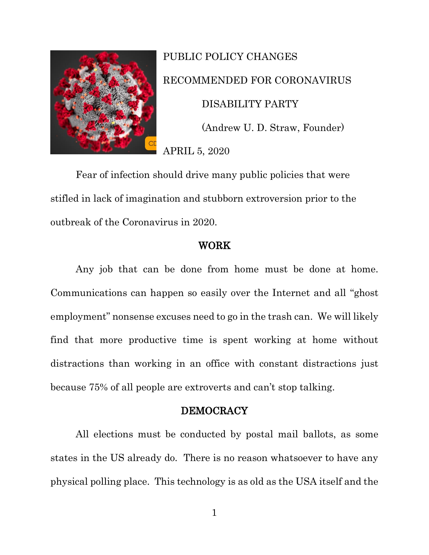

# PUBLIC POLICY CHANGES RECOMMENDED FOR CORONAVIRUS DISABILITY PARTY (Andrew U. D. Straw, Founder) APRIL 5, 2020

Fear of infection should drive many public policies that were stifled in lack of imagination and stubborn extroversion prior to the outbreak of the Coronavirus in 2020.

# WORK

Any job that can be done from home must be done at home. Communications can happen so easily over the Internet and all "ghost employment" nonsense excuses need to go in the trash can. We will likely find that more productive time is spent working at home without distractions than working in an office with constant distractions just because 75% of all people are extroverts and can't stop talking.

### DEMOCRACY

All elections must be conducted by postal mail ballots, as some states in the US already do. There is no reason whatsoever to have any physical polling place. This technology is as old as the USA itself and the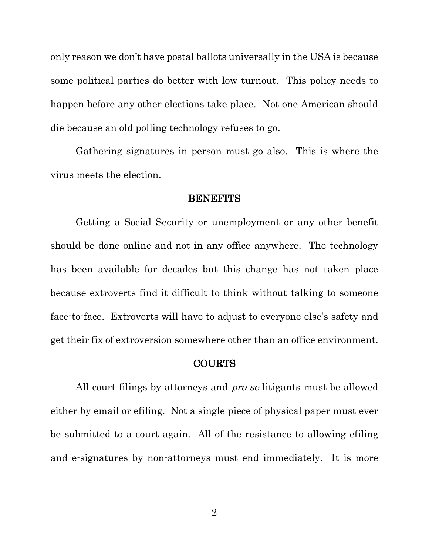only reason we don't have postal ballots universally in the USA is because some political parties do better with low turnout. This policy needs to happen before any other elections take place. Not one American should die because an old polling technology refuses to go.

Gathering signatures in person must go also. This is where the virus meets the election.

#### BENEFITS

Getting a Social Security or unemployment or any other benefit should be done online and not in any office anywhere. The technology has been available for decades but this change has not taken place because extroverts find it difficult to think without talking to someone face-to-face. Extroverts will have to adjust to everyone else's safety and get their fix of extroversion somewhere other than an office environment.

#### COURTS

All court filings by attorneys and *pro se* litigants must be allowed either by email or efiling. Not a single piece of physical paper must ever be submitted to a court again. All of the resistance to allowing efiling and e-signatures by non-attorneys must end immediately. It is more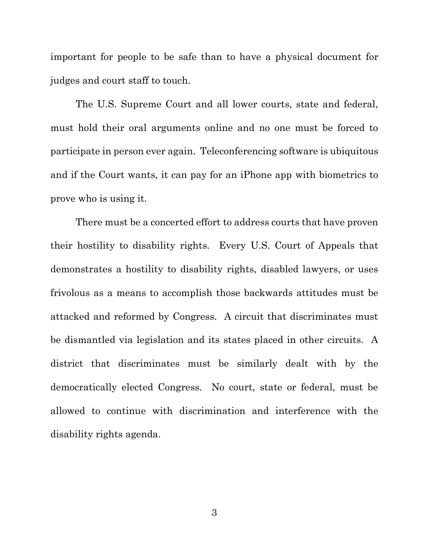important for people to be safe than to have a physical document for judges and court staff to touch.

The U.S. Supreme Court and all lower courts, state and federal, must hold their oral arguments online and no one must be forced to participate in person ever again. Teleconferencing software is ubiquitous and if the Court wants, it can pay for an iPhone app with biometrics to prove who is using it.

There must be a concerted effort to address courts that have proven their hostility to disability rights. Every U.S. Court of Appeals that demonstrates a hostility to disability rights, disabled lawyers, or uses frivolous as a means to accomplish those backwards attitudes must be attacked and reformed by Congress. A circuit that discriminates must be dismantled via legislation and its states placed in other circuits. A district that discriminates must be similarly dealt with by the democratically elected Congress. No court, state or federal, must be allowed to continue with discrimination and interference with the disability rights agenda.

3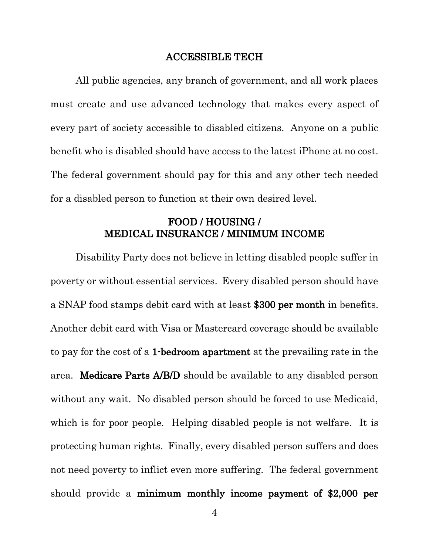#### ACCESSIBLE TECH

All public agencies, any branch of government, and all work places must create and use advanced technology that makes every aspect of every part of society accessible to disabled citizens. Anyone on a public benefit who is disabled should have access to the latest iPhone at no cost. The federal government should pay for this and any other tech needed for a disabled person to function at their own desired level.

# FOOD / HOUSING / MEDICAL INSURANCE / MINIMUM INCOME

Disability Party does not believe in letting disabled people suffer in poverty or without essential services. Every disabled person should have a SNAP food stamps debit card with at least \$300 per month in benefits. Another debit card with Visa or Mastercard coverage should be available to pay for the cost of a 1-bedroom apartment at the prevailing rate in the area. Medicare Parts A/B/D should be available to any disabled person without any wait. No disabled person should be forced to use Medicaid, which is for poor people. Helping disabled people is not welfare. It is protecting human rights. Finally, every disabled person suffers and does not need poverty to inflict even more suffering. The federal government should provide a minimum monthly income payment of \$2,000 per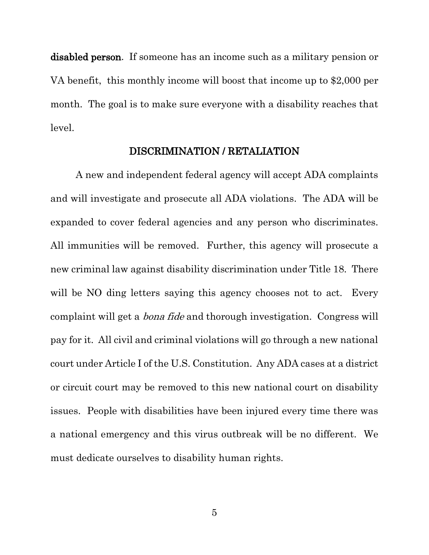disabled person. If someone has an income such as a military pension or VA benefit, this monthly income will boost that income up to \$2,000 per month. The goal is to make sure everyone with a disability reaches that level.

## DISCRIMINATION / RETALIATION

A new and independent federal agency will accept ADA complaints and will investigate and prosecute all ADA violations. The ADA will be expanded to cover federal agencies and any person who discriminates. All immunities will be removed. Further, this agency will prosecute a new criminal law against disability discrimination under Title 18. There will be NO ding letters saying this agency chooses not to act. Every complaint will get a bona fide and thorough investigation. Congress will pay for it. All civil and criminal violations will go through a new national court under Article I of the U.S. Constitution. Any ADA cases at a district or circuit court may be removed to this new national court on disability issues. People with disabilities have been injured every time there was a national emergency and this virus outbreak will be no different. We must dedicate ourselves to disability human rights.